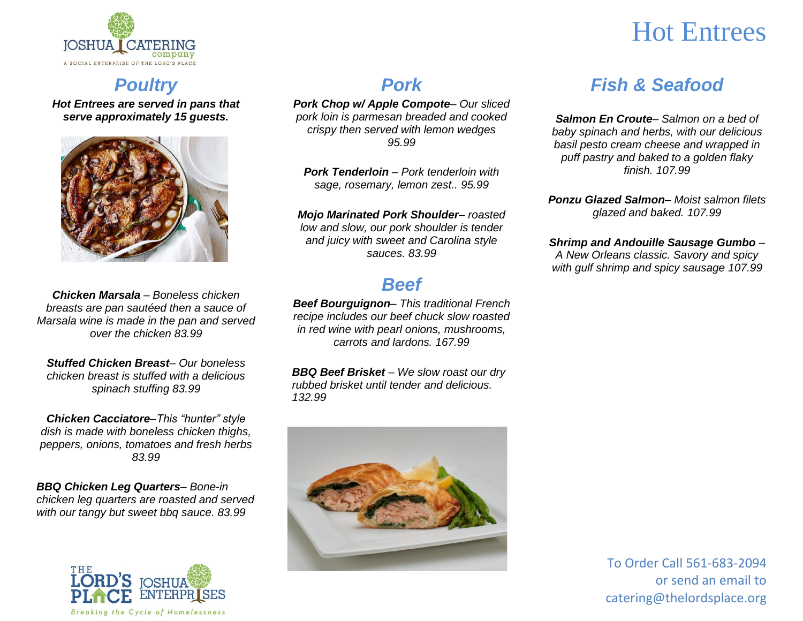

# Hot Entrees

## *Poultry*

*Hot Entrees are served in pans that serve approximately 15 guests.* 



*Chicken Marsala – Boneless chicken breasts are pan sautéed then a sauce of Marsala wine is made in the pan and served over the chicken 83.99*

*Stuffed Chicken Breast– Our boneless chicken breast is stuffed with a delicious spinach stuffing 83.99*

*Chicken Cacciatore–This "hunter" style dish is made with boneless chicken thighs, peppers, onions, tomatoes and fresh herbs 83.99*

*BBQ Chicken Leg Quarters– Bone-in chicken leg quarters are roasted and served with our tangy but sweet bbq sauce. 83.99*



### *Pork*

*Pork Chop w/ Apple Compote– Our sliced pork loin is parmesan breaded and cooked crispy then served with lemon wedges 95.99*

*Pork Tenderloin – Pork tenderloin with sage, rosemary, lemon zest.. 95.99*

*Mojo Marinated Pork Shoulder– roasted low and slow, our pork shoulder is tender and juicy with sweet and Carolina style sauces. 83.99*

### *Beef*

*Beef Bourguignon– This traditional French recipe includes our beef chuck slow roasted in red wine with pearl onions, mushrooms, carrots and lardons. 167.99*

*BBQ Beef Brisket – We slow roast our dry rubbed brisket until tender and delicious. 132.99*



## *Fish & Seafood*

*Salmon En Croute– Salmon on a bed of baby spinach and herbs, with our delicious basil pesto cream cheese and wrapped in puff pastry and baked to a golden flaky finish. 107.99*

*Ponzu Glazed Salmon– Moist salmon filets glazed and baked. 107.99*

### *Shrimp and Andouille Sausage Gumbo –*

*A New Orleans classic. Savory and spicy with gulf shrimp and spicy sausage 107.99*

> To Order Call 561-683-2094 or send an email to catering@thelordsplace.org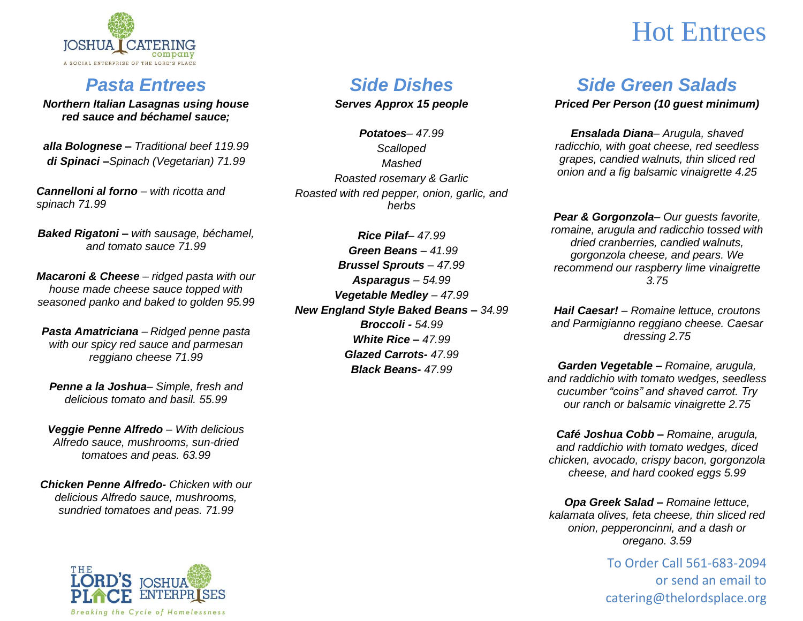

### *Pasta Entrees*

*Northern Italian Lasagnas using house red sauce and béchamel sauce;*

*alla Bolognese – Traditional beef 119.99 di Spinaci –Spinach (Vegetarian) 71.99*

*Cannelloni al forno – with ricotta and spinach 71.99*

*Baked Rigatoni – with sausage, béchamel, and tomato sauce 71.99*

*Macaroni & Cheese – ridged pasta with our house made cheese sauce topped with seasoned panko and baked to golden 95.99*

*Pasta Amatriciana – Ridged penne pasta with our spicy red sauce and parmesan reggiano cheese 71.99*

*Penne a la Joshua– Simple, fresh and delicious tomato and basil. 55.99*

*Veggie Penne Alfredo – With delicious Alfredo sauce, mushrooms, sun-dried tomatoes and peas. 63.99*

*Chicken Penne Alfredo- Chicken with our delicious Alfredo sauce, mushrooms, sundried tomatoes and peas. 71.99*



## *Side Dishes*

*Serves Approx 15 people*

*Potatoes– 47.99 Scalloped Mashed Roasted rosemary & Garlic Roasted with red pepper, onion, garlic, and herbs*

*Rice Pilaf– 47.99 Green Beans – 41.99 Brussel Sprouts – 47.99 Asparagus – 54.99 Vegetable Medley – 47.99 New England Style Baked Beans – 34.99 Broccoli - 54.99 White Rice – 47.99 Glazed Carrots- 47.99 Black Beans- 47.99*

# Hot Entrees

### *Side Green Salads*

#### *Priced Per Person (10 guest minimum)*

*Ensalada Diana– Arugula, shaved radicchio, with goat cheese, red seedless grapes, candied walnuts, thin sliced red onion and a fig balsamic vinaigrette 4.25*

*Pear & Gorgonzola– Our guests favorite, romaine, arugula and radicchio tossed with dried cranberries, candied walnuts, gorgonzola cheese, and pears. We recommend our raspberry lime vinaigrette 3.75*

*Hail Caesar! – Romaine lettuce, croutons and Parmigianno reggiano cheese. Caesar dressing 2.75*

*Garden Vegetable – Romaine, arugula, and raddichio with tomato wedges, seedless cucumber "coins" and shaved carrot. Try our ranch or balsamic vinaigrette 2.75*

*Café Joshua Cobb – Romaine, arugula, and raddichio with tomato wedges, diced chicken, avocado, crispy bacon, gorgonzola cheese, and hard cooked eggs 5.99*

*Opa Greek Salad – Romaine lettuce, kalamata olives, feta cheese, thin sliced red onion, pepperoncinni, and a dash or oregano. 3.59*

> To Order Call 561-683-2094 or send an email to catering@thelordsplace.org